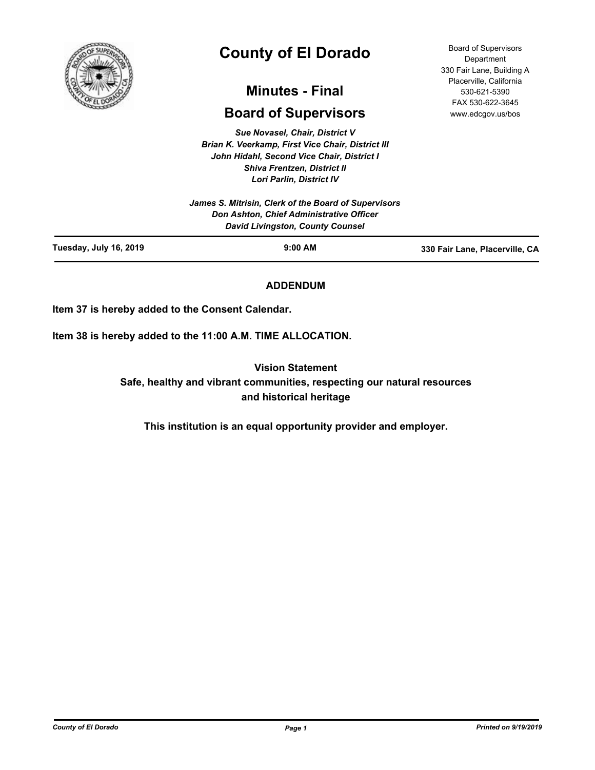

# **County of El Dorado**

# **Minutes - Final**

# **Board of Supervisors**

*Sue Novasel, Chair, District V Brian K. Veerkamp, First Vice Chair, District III John Hidahl, Second Vice Chair, District I Shiva Frentzen, District II Lori Parlin, District IV*

|                        | <b>Don Ashton, Chief Administrative Officer</b><br>David Livingston, County Counsel |                                |
|------------------------|-------------------------------------------------------------------------------------|--------------------------------|
| Tuesday, July 16, 2019 | $9:00$ AM                                                                           | 330 Fair Lane, Placerville, CA |

# **ADDENDUM**

**Item 37 is hereby added to the Consent Calendar.**

**Item 38 is hereby added to the 11:00 A.M. TIME ALLOCATION.**

**Vision Statement** 

**Safe, healthy and vibrant communities, respecting our natural resources and historical heritage**

**This institution is an equal opportunity provider and employer.**

**Department** 330 Fair Lane, Building A Placerville, California 530-621-5390 FAX 530-622-3645 www.edcgov.us/bos

Board of Supervisors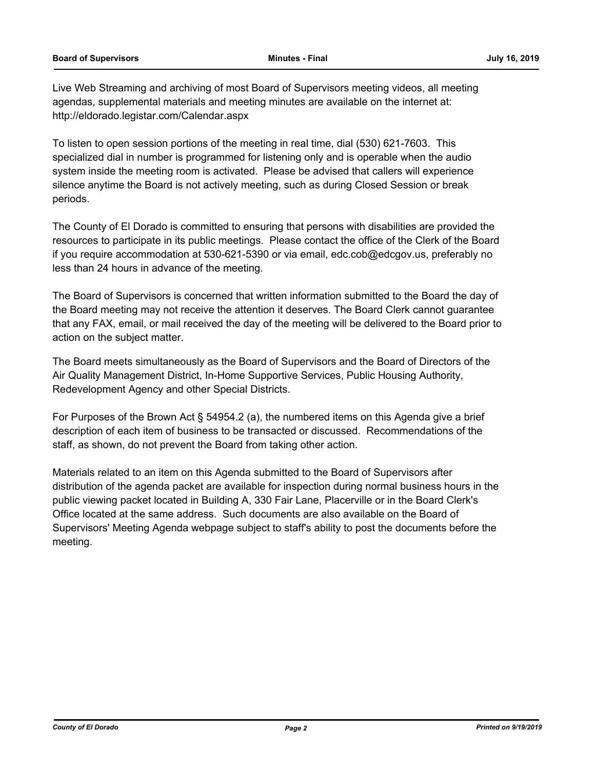Live Web Streaming and archiving of most Board of Supervisors meeting videos, all meeting agendas, supplemental materials and meeting minutes are available on the internet at: http://eldorado.legistar.com/Calendar.aspx

To listen to open session portions of the meeting in real time, dial (530) 621-7603. This specialized dial in number is programmed for listening only and is operable when the audio system inside the meeting room is activated. Please be advised that callers will experience silence anytime the Board is not actively meeting, such as during Closed Session or break periods.

The County of El Dorado is committed to ensuring that persons with disabilities are provided the resources to participate in its public meetings. Please contact the office of the Clerk of the Board if you require accommodation at 530-621-5390 or via email, edc.cob@edcgov.us, preferably no less than 24 hours in advance of the meeting.

The Board of Supervisors is concerned that written information submitted to the Board the day of the Board meeting may not receive the attention it deserves. The Board Clerk cannot guarantee that any FAX, email, or mail received the day of the meeting will be delivered to the Board prior to action on the subject matter.

The Board meets simultaneously as the Board of Supervisors and the Board of Directors of the Air Quality Management District, In-Home Supportive Services, Public Housing Authority, Redevelopment Agency and other Special Districts.

For Purposes of the Brown Act § 54954.2 (a), the numbered items on this Agenda give a brief description of each item of business to be transacted or discussed. Recommendations of the staff, as shown, do not prevent the Board from taking other action.

Materials related to an item on this Agenda submitted to the Board of Supervisors after distribution of the agenda packet are available for inspection during normal business hours in the public viewing packet located in Building A, 330 Fair Lane, Placerville or in the Board Clerk's Office located at the same address. Such documents are also available on the Board of Supervisors' Meeting Agenda webpage subject to staff's ability to post the documents before the meeting.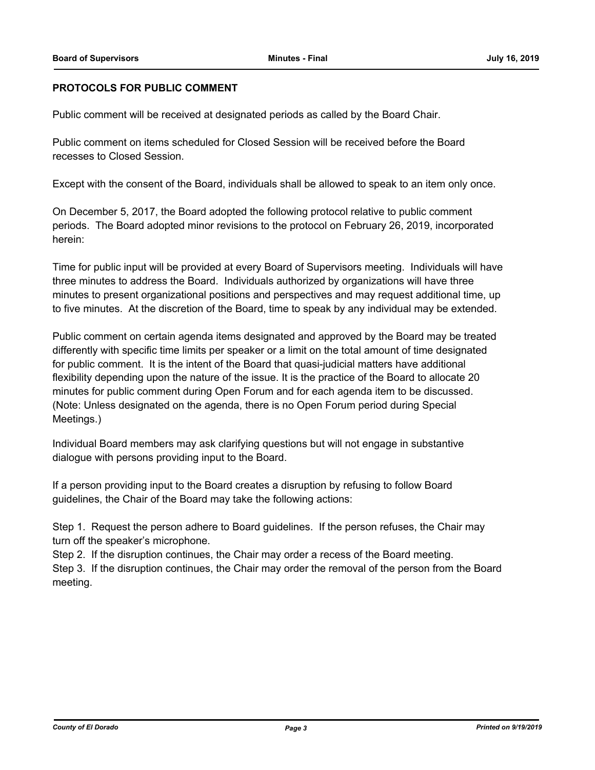# **PROTOCOLS FOR PUBLIC COMMENT**

Public comment will be received at designated periods as called by the Board Chair.

Public comment on items scheduled for Closed Session will be received before the Board recesses to Closed Session.

Except with the consent of the Board, individuals shall be allowed to speak to an item only once.

On December 5, 2017, the Board adopted the following protocol relative to public comment periods. The Board adopted minor revisions to the protocol on February 26, 2019, incorporated herein:

Time for public input will be provided at every Board of Supervisors meeting. Individuals will have three minutes to address the Board. Individuals authorized by organizations will have three minutes to present organizational positions and perspectives and may request additional time, up to five minutes. At the discretion of the Board, time to speak by any individual may be extended.

Public comment on certain agenda items designated and approved by the Board may be treated differently with specific time limits per speaker or a limit on the total amount of time designated for public comment. It is the intent of the Board that quasi-judicial matters have additional flexibility depending upon the nature of the issue. It is the practice of the Board to allocate 20 minutes for public comment during Open Forum and for each agenda item to be discussed. (Note: Unless designated on the agenda, there is no Open Forum period during Special Meetings.)

Individual Board members may ask clarifying questions but will not engage in substantive dialogue with persons providing input to the Board.

If a person providing input to the Board creates a disruption by refusing to follow Board guidelines, the Chair of the Board may take the following actions:

Step 1. Request the person adhere to Board guidelines. If the person refuses, the Chair may turn off the speaker's microphone.

Step 2. If the disruption continues, the Chair may order a recess of the Board meeting.

Step 3. If the disruption continues, the Chair may order the removal of the person from the Board meeting.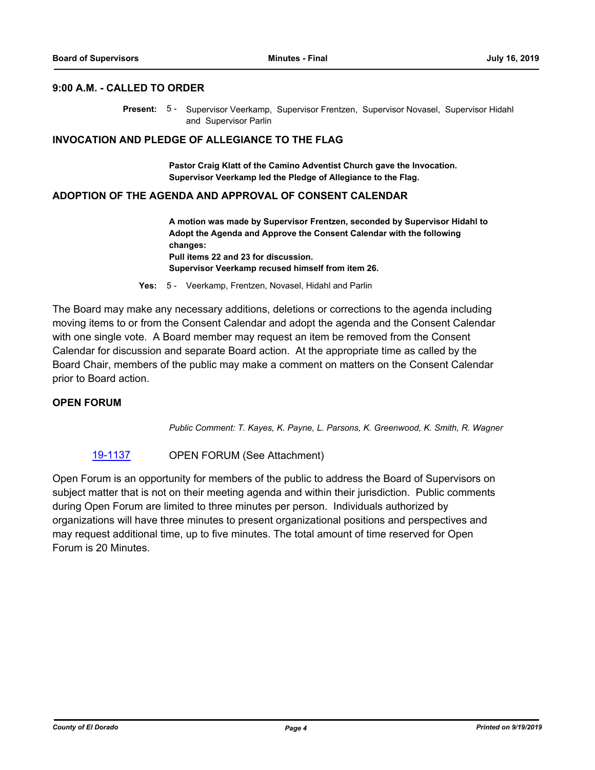# **9:00 A.M. - CALLED TO ORDER**

Present: 5 - Supervisor Veerkamp, Supervisor Frentzen, Supervisor Novasel, Supervisor Hidahl and Supervisor Parlin

#### **INVOCATION AND PLEDGE OF ALLEGIANCE TO THE FLAG**

**Pastor Craig Klatt of the Camino Adventist Church gave the Invocation. Supervisor Veerkamp led the Pledge of Allegiance to the Flag.**

#### **ADOPTION OF THE AGENDA AND APPROVAL OF CONSENT CALENDAR**

**A motion was made by Supervisor Frentzen, seconded by Supervisor Hidahl to Adopt the Agenda and Approve the Consent Calendar with the following changes: Pull items 22 and 23 for discussion. Supervisor Veerkamp recused himself from item 26.**

**Yes:** 5 - Veerkamp, Frentzen, Novasel, Hidahl and Parlin

The Board may make any necessary additions, deletions or corrections to the agenda including moving items to or from the Consent Calendar and adopt the agenda and the Consent Calendar with one single vote. A Board member may request an item be removed from the Consent Calendar for discussion and separate Board action. At the appropriate time as called by the Board Chair, members of the public may make a comment on matters on the Consent Calendar prior to Board action.

# **OPEN FORUM**

*Public Comment: T. Kayes, K. Payne, L. Parsons, K. Greenwood, K. Smith, R. Wagner*

# [19-1137](http://eldorado.legistar.com/gateway.aspx?m=l&id=/matter.aspx?key=26459) OPEN FORUM (See Attachment)

Open Forum is an opportunity for members of the public to address the Board of Supervisors on subject matter that is not on their meeting agenda and within their jurisdiction. Public comments during Open Forum are limited to three minutes per person. Individuals authorized by organizations will have three minutes to present organizational positions and perspectives and may request additional time, up to five minutes. The total amount of time reserved for Open Forum is 20 Minutes.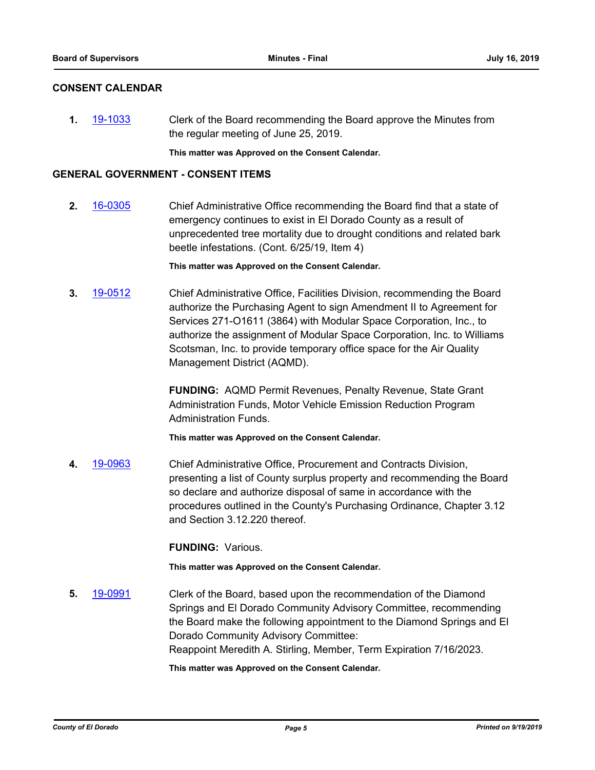# **CONSENT CALENDAR**

**1.** [19-1033](http://eldorado.legistar.com/gateway.aspx?m=l&id=/matter.aspx?key=26355) Clerk of the Board recommending the Board approve the Minutes from the regular meeting of June 25, 2019.

**This matter was Approved on the Consent Calendar.**

### **GENERAL GOVERNMENT - CONSENT ITEMS**

**2.** [16-0305](http://eldorado.legistar.com/gateway.aspx?m=l&id=/matter.aspx?key=20961) Chief Administrative Office recommending the Board find that a state of emergency continues to exist in El Dorado County as a result of unprecedented tree mortality due to drought conditions and related bark beetle infestations. (Cont. 6/25/19, Item 4)

**This matter was Approved on the Consent Calendar.**

**3.** [19-0512](http://eldorado.legistar.com/gateway.aspx?m=l&id=/matter.aspx?key=25833) Chief Administrative Office, Facilities Division, recommending the Board authorize the Purchasing Agent to sign Amendment II to Agreement for Services 271-O1611 (3864) with Modular Space Corporation, Inc., to authorize the assignment of Modular Space Corporation, Inc. to Williams Scotsman, Inc. to provide temporary office space for the Air Quality Management District (AQMD).

> **FUNDING:** AQMD Permit Revenues, Penalty Revenue, State Grant Administration Funds, Motor Vehicle Emission Reduction Program Administration Funds.

**This matter was Approved on the Consent Calendar.**

**4.** [19-0963](http://eldorado.legistar.com/gateway.aspx?m=l&id=/matter.aspx?key=26286) Chief Administrative Office, Procurement and Contracts Division, presenting a list of County surplus property and recommending the Board so declare and authorize disposal of same in accordance with the procedures outlined in the County's Purchasing Ordinance, Chapter 3.12 and Section 3.12.220 thereof.

**FUNDING:** Various.

**This matter was Approved on the Consent Calendar.**

**5.** [19-0991](http://eldorado.legistar.com/gateway.aspx?m=l&id=/matter.aspx?key=26314) Clerk of the Board, based upon the recommendation of the Diamond Springs and El Dorado Community Advisory Committee, recommending the Board make the following appointment to the Diamond Springs and El Dorado Community Advisory Committee: Reappoint Meredith A. Stirling, Member, Term Expiration 7/16/2023.

**This matter was Approved on the Consent Calendar.**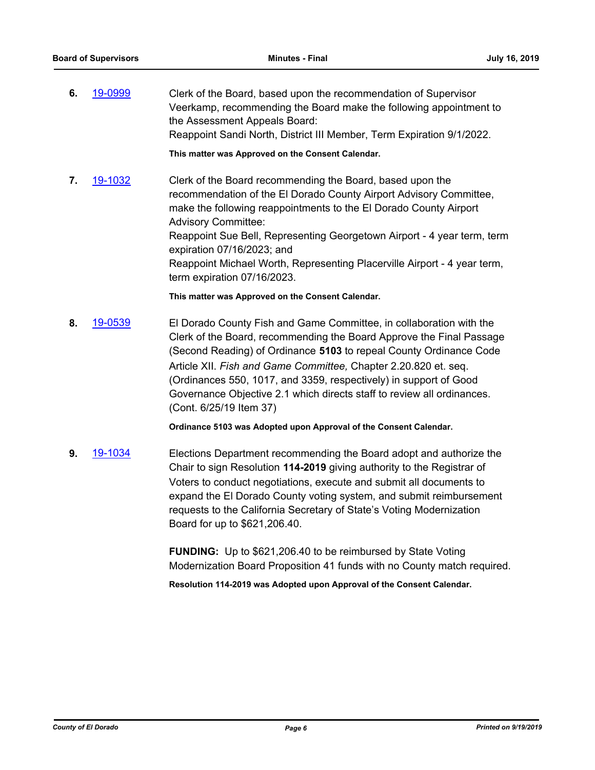**6.** [19-0999](http://eldorado.legistar.com/gateway.aspx?m=l&id=/matter.aspx?key=26322) Clerk of the Board, based upon the recommendation of Supervisor Veerkamp, recommending the Board make the following appointment to the Assessment Appeals Board: Reappoint Sandi North, District III Member, Term Expiration 9/1/2022.

**This matter was Approved on the Consent Calendar.**

**7.** [19-1032](http://eldorado.legistar.com/gateway.aspx?m=l&id=/matter.aspx?key=26354) Clerk of the Board recommending the Board, based upon the recommendation of the El Dorado County Airport Advisory Committee, make the following reappointments to the El Dorado County Airport Advisory Committee: Reappoint Sue Bell, Representing Georgetown Airport - 4 year term, term expiration 07/16/2023; and Reappoint Michael Worth, Representing Placerville Airport - 4 year term, term expiration 07/16/2023.

**This matter was Approved on the Consent Calendar.**

**8.** [19-0539](http://eldorado.legistar.com/gateway.aspx?m=l&id=/matter.aspx?key=25860) El Dorado County Fish and Game Committee, in collaboration with the Clerk of the Board, recommending the Board Approve the Final Passage (Second Reading) of Ordinance **5103** to repeal County Ordinance Code Article XII. *Fish and Game Committee,* Chapter 2.20.820 et. seq. (Ordinances 550, 1017, and 3359, respectively) in support of Good Governance Objective 2.1 which directs staff to review all ordinances. (Cont. 6/25/19 Item 37)

**Ordinance 5103 was Adopted upon Approval of the Consent Calendar.**

**9.** [19-1034](http://eldorado.legistar.com/gateway.aspx?m=l&id=/matter.aspx?key=26356) Elections Department recommending the Board adopt and authorize the Chair to sign Resolution **114-2019** giving authority to the Registrar of Voters to conduct negotiations, execute and submit all documents to expand the El Dorado County voting system, and submit reimbursement requests to the California Secretary of State's Voting Modernization Board for up to \$621,206.40.

> **FUNDING:** Up to \$621,206.40 to be reimbursed by State Voting Modernization Board Proposition 41 funds with no County match required.

**Resolution 114-2019 was Adopted upon Approval of the Consent Calendar.**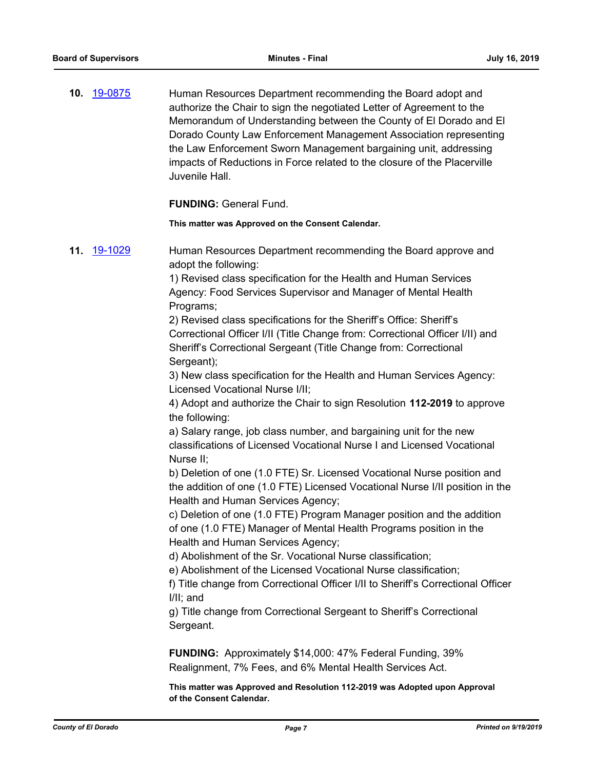**10.** [19-0875](http://eldorado.legistar.com/gateway.aspx?m=l&id=/matter.aspx?key=26198) Human Resources Department recommending the Board adopt and authorize the Chair to sign the negotiated Letter of Agreement to the Memorandum of Understanding between the County of El Dorado and El Dorado County Law Enforcement Management Association representing the Law Enforcement Sworn Management bargaining unit, addressing impacts of Reductions in Force related to the closure of the Placerville Juvenile Hall.

**FUNDING:** General Fund.

**This matter was Approved on the Consent Calendar.**

**11.** [19-1029](http://eldorado.legistar.com/gateway.aspx?m=l&id=/matter.aspx?key=26351) Human Resources Department recommending the Board approve and adopt the following: 1) Revised class specification for the Health and Human Services

Agency: Food Services Supervisor and Manager of Mental Health Programs;

2) Revised class specifications for the Sheriff's Office: Sheriff's Correctional Officer I/II (Title Change from: Correctional Officer I/II) and Sheriff's Correctional Sergeant (Title Change from: Correctional Sergeant);

3) New class specification for the Health and Human Services Agency: Licensed Vocational Nurse I/II;

4) Adopt and authorize the Chair to sign Resolution **112-2019** to approve the following:

a) Salary range, job class number, and bargaining unit for the new classifications of Licensed Vocational Nurse I and Licensed Vocational Nurse II;

b) Deletion of one (1.0 FTE) Sr. Licensed Vocational Nurse position and the addition of one (1.0 FTE) Licensed Vocational Nurse I/II position in the Health and Human Services Agency;

c) Deletion of one (1.0 FTE) Program Manager position and the addition of one (1.0 FTE) Manager of Mental Health Programs position in the Health and Human Services Agency;

d) Abolishment of the Sr. Vocational Nurse classification;

e) Abolishment of the Licensed Vocational Nurse classification;

f) Title change from Correctional Officer I/II to Sheriff's Correctional Officer I/II; and

g) Title change from Correctional Sergeant to Sheriff's Correctional Sergeant.

**FUNDING:** Approximately \$14,000: 47% Federal Funding, 39% Realignment, 7% Fees, and 6% Mental Health Services Act.

**This matter was Approved and Resolution 112-2019 was Adopted upon Approval of the Consent Calendar.**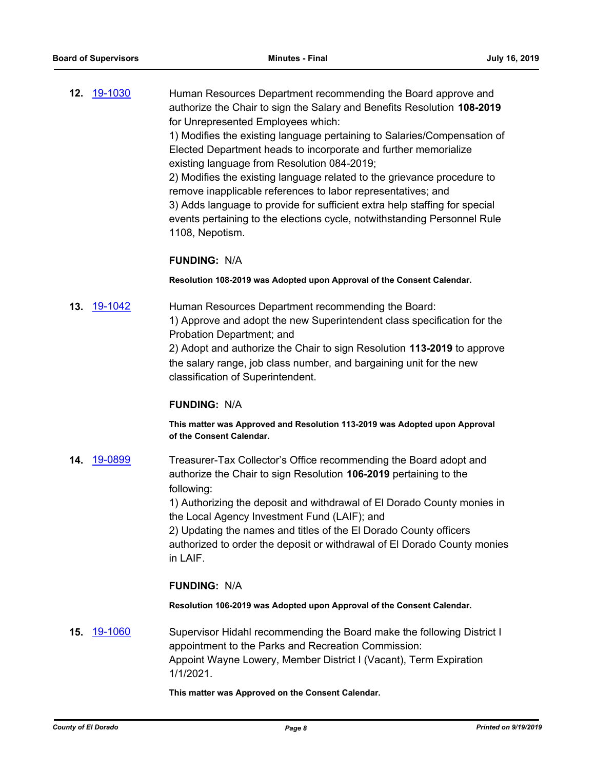**12.** [19-1030](http://eldorado.legistar.com/gateway.aspx?m=l&id=/matter.aspx?key=26352) Human Resources Department recommending the Board approve and authorize the Chair to sign the Salary and Benefits Resolution **108-2019** for Unrepresented Employees which: 1) Modifies the existing language pertaining to Salaries/Compensation of Elected Department heads to incorporate and further memorialize existing language from Resolution 084-2019;

2) Modifies the existing language related to the grievance procedure to remove inapplicable references to labor representatives; and 3) Adds language to provide for sufficient extra help staffing for special events pertaining to the elections cycle, notwithstanding Personnel Rule 1108, Nepotism.

### **FUNDING:** N/A

**Resolution 108-2019 was Adopted upon Approval of the Consent Calendar.**

**13.** [19-1042](http://eldorado.legistar.com/gateway.aspx?m=l&id=/matter.aspx?key=26364) Human Resources Department recommending the Board: 1) Approve and adopt the new Superintendent class specification for the Probation Department; and 2) Adopt and authorize the Chair to sign Resolution **113-2019** to approve the salary range, job class number, and bargaining unit for the new classification of Superintendent.

#### **FUNDING:** N/A

**This matter was Approved and Resolution 113-2019 was Adopted upon Approval of the Consent Calendar.**

**14.** [19-0899](http://eldorado.legistar.com/gateway.aspx?m=l&id=/matter.aspx?key=26222) Treasurer-Tax Collector's Office recommending the Board adopt and authorize the Chair to sign Resolution **106-2019** pertaining to the following:

> 1) Authorizing the deposit and withdrawal of El Dorado County monies in the Local Agency Investment Fund (LAIF); and

> 2) Updating the names and titles of the El Dorado County officers authorized to order the deposit or withdrawal of El Dorado County monies in LAIF.

# **FUNDING:** N/A

**Resolution 106-2019 was Adopted upon Approval of the Consent Calendar.**

**15.** [19-1060](http://eldorado.legistar.com/gateway.aspx?m=l&id=/matter.aspx?key=26382) Supervisor Hidahl recommending the Board make the following District I appointment to the Parks and Recreation Commission: Appoint Wayne Lowery, Member District I (Vacant), Term Expiration 1/1/2021.

#### **This matter was Approved on the Consent Calendar.**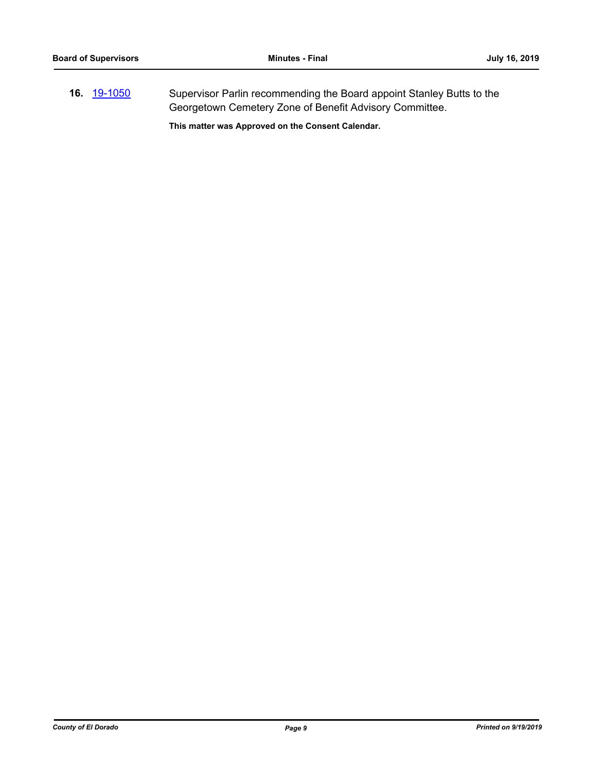**16.** [19-1050](http://eldorado.legistar.com/gateway.aspx?m=l&id=/matter.aspx?key=26372) Supervisor Parlin recommending the Board appoint Stanley Butts to the Georgetown Cemetery Zone of Benefit Advisory Committee.

**This matter was Approved on the Consent Calendar.**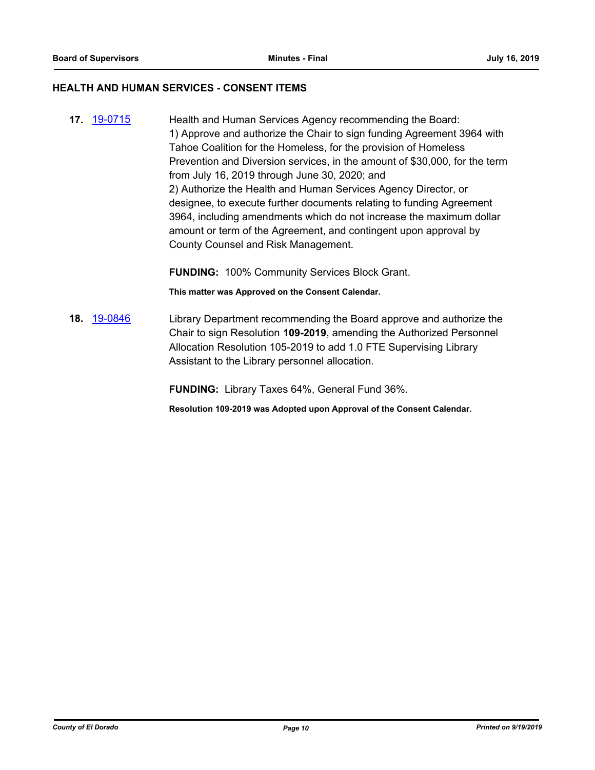#### **HEALTH AND HUMAN SERVICES - CONSENT ITEMS**

**17.** [19-0715](http://eldorado.legistar.com/gateway.aspx?m=l&id=/matter.aspx?key=26037) Health and Human Services Agency recommending the Board: 1) Approve and authorize the Chair to sign funding Agreement 3964 with Tahoe Coalition for the Homeless, for the provision of Homeless Prevention and Diversion services, in the amount of \$30,000, for the term from July 16, 2019 through June 30, 2020; and 2) Authorize the Health and Human Services Agency Director, or designee, to execute further documents relating to funding Agreement 3964, including amendments which do not increase the maximum dollar amount or term of the Agreement, and contingent upon approval by County Counsel and Risk Management.

**FUNDING:** 100% Community Services Block Grant.

**This matter was Approved on the Consent Calendar.**

**18.** [19-0846](http://eldorado.legistar.com/gateway.aspx?m=l&id=/matter.aspx?key=26169) Library Department recommending the Board approve and authorize the Chair to sign Resolution **109-2019**, amending the Authorized Personnel Allocation Resolution 105-2019 to add 1.0 FTE Supervising Library Assistant to the Library personnel allocation.

**FUNDING:** Library Taxes 64%, General Fund 36%.

**Resolution 109-2019 was Adopted upon Approval of the Consent Calendar.**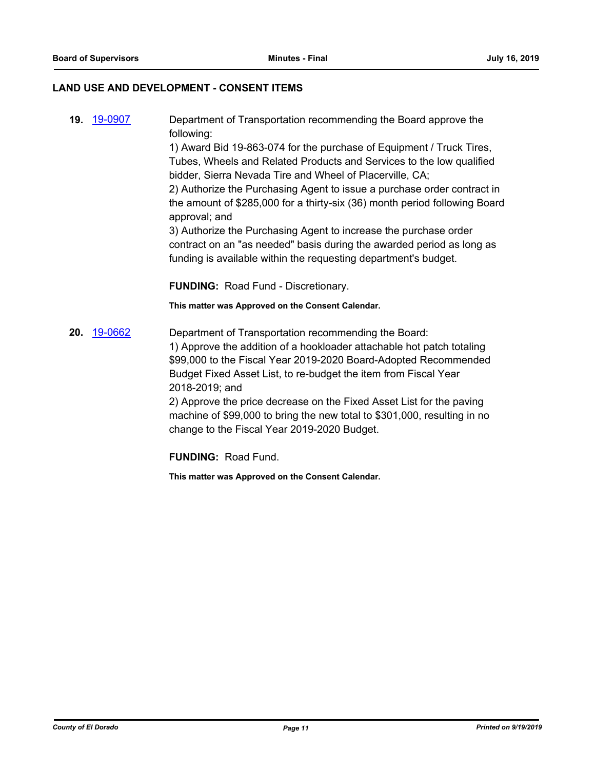### **LAND USE AND DEVELOPMENT - CONSENT ITEMS**

**19.** [19-0907](http://eldorado.legistar.com/gateway.aspx?m=l&id=/matter.aspx?key=26230) Department of Transportation recommending the Board approve the following: 1) Award Bid 19-863-074 for the purchase of Equipment / Truck Tires, Tubes, Wheels and Related Products and Services to the low qualified bidder, Sierra Nevada Tire and Wheel of Placerville, CA; 2) Authorize the Purchasing Agent to issue a purchase order contract in the amount of \$285,000 for a thirty-six (36) month period following Board approval; and 3) Authorize the Purchasing Agent to increase the purchase order contract on an "as needed" basis during the awarded period as long as funding is available within the requesting department's budget. **FUNDING:** Road Fund - Discretionary.

**This matter was Approved on the Consent Calendar.**

**20.** [19-0662](http://eldorado.legistar.com/gateway.aspx?m=l&id=/matter.aspx?key=25984) Department of Transportation recommending the Board: 1) Approve the addition of a hookloader attachable hot patch totaling \$99,000 to the Fiscal Year 2019-2020 Board-Adopted Recommended Budget Fixed Asset List, to re-budget the item from Fiscal Year 2018-2019; and

> 2) Approve the price decrease on the Fixed Asset List for the paving machine of \$99,000 to bring the new total to \$301,000, resulting in no change to the Fiscal Year 2019-2020 Budget.

**FUNDING:** Road Fund.

**This matter was Approved on the Consent Calendar.**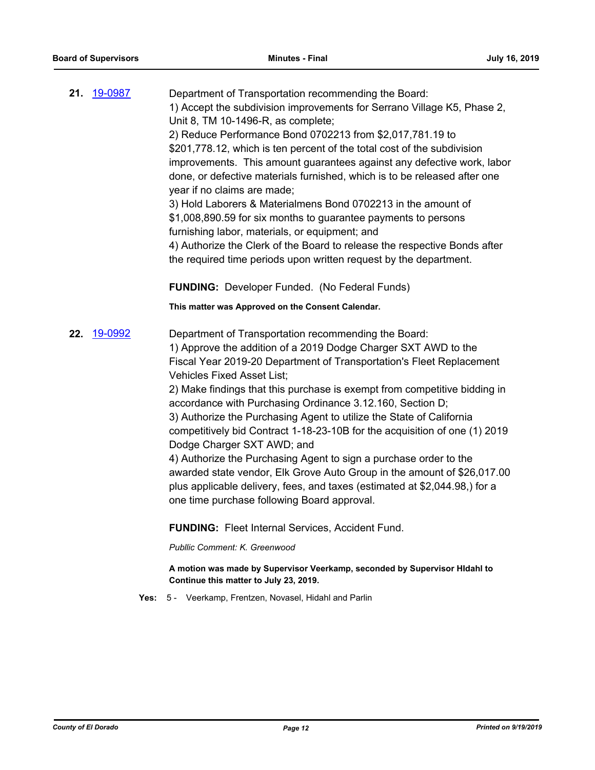| 21. | 19-0987     | Department of Transportation recommending the Board:<br>1) Accept the subdivision improvements for Serrano Village K5, Phase 2,<br>Unit 8, TM 10-1496-R, as complete;<br>2) Reduce Performance Bond 0702213 from \$2,017,781.19 to<br>\$201,778.12, which is ten percent of the total cost of the subdivision<br>improvements. This amount guarantees against any defective work, labor<br>done, or defective materials furnished, which is to be released after one<br>year if no claims are made;<br>3) Hold Laborers & Materialmens Bond 0702213 in the amount of<br>\$1,008,890.59 for six months to guarantee payments to persons<br>furnishing labor, materials, or equipment; and<br>4) Authorize the Clerk of the Board to release the respective Bonds after<br>the required time periods upon written request by the department.     |
|-----|-------------|------------------------------------------------------------------------------------------------------------------------------------------------------------------------------------------------------------------------------------------------------------------------------------------------------------------------------------------------------------------------------------------------------------------------------------------------------------------------------------------------------------------------------------------------------------------------------------------------------------------------------------------------------------------------------------------------------------------------------------------------------------------------------------------------------------------------------------------------|
|     |             | <b>FUNDING: Developer Funded. (No Federal Funds)</b>                                                                                                                                                                                                                                                                                                                                                                                                                                                                                                                                                                                                                                                                                                                                                                                           |
|     |             | This matter was Approved on the Consent Calendar.                                                                                                                                                                                                                                                                                                                                                                                                                                                                                                                                                                                                                                                                                                                                                                                              |
|     | 22. 19-0992 | Department of Transportation recommending the Board:<br>1) Approve the addition of a 2019 Dodge Charger SXT AWD to the<br>Fiscal Year 2019-20 Department of Transportation's Fleet Replacement<br><b>Vehicles Fixed Asset List;</b><br>2) Make findings that this purchase is exempt from competitive bidding in<br>accordance with Purchasing Ordinance 3.12.160, Section D;<br>3) Authorize the Purchasing Agent to utilize the State of California<br>competitively bid Contract 1-18-23-10B for the acquisition of one (1) 2019<br>Dodge Charger SXT AWD; and<br>4) Authorize the Purchasing Agent to sign a purchase order to the<br>awarded state vendor, Elk Grove Auto Group in the amount of \$26,017.00<br>plus applicable delivery, fees, and taxes (estimated at \$2,044.98,) for a<br>one time purchase following Board approval. |
|     |             | <b>FUNDING: Fleet Internal Services, Accident Fund.</b>                                                                                                                                                                                                                                                                                                                                                                                                                                                                                                                                                                                                                                                                                                                                                                                        |
|     |             | Publlic Comment: K. Greenwood                                                                                                                                                                                                                                                                                                                                                                                                                                                                                                                                                                                                                                                                                                                                                                                                                  |
|     |             | A motion was made by Supervisor Veerkamp, seconded by Supervisor HIdahl to<br>Continue this matter to July 23, 2019.                                                                                                                                                                                                                                                                                                                                                                                                                                                                                                                                                                                                                                                                                                                           |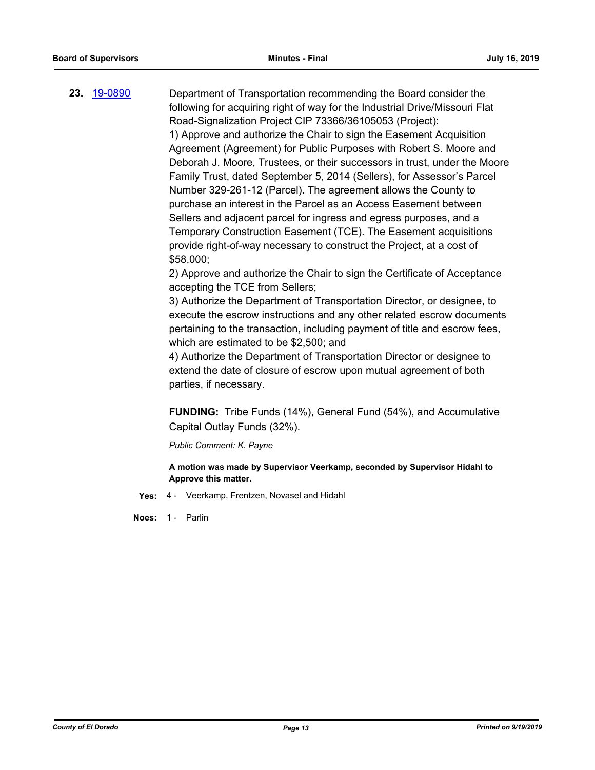**23.** [19-0890](http://eldorado.legistar.com/gateway.aspx?m=l&id=/matter.aspx?key=26213) Department of Transportation recommending the Board consider the following for acquiring right of way for the Industrial Drive/Missouri Flat Road-Signalization Project CIP 73366/36105053 (Project): 1) Approve and authorize the Chair to sign the Easement Acquisition Agreement (Agreement) for Public Purposes with Robert S. Moore and Deborah J. Moore, Trustees, or their successors in trust, under the Moore Family Trust, dated September 5, 2014 (Sellers), for Assessor's Parcel Number 329-261-12 (Parcel). The agreement allows the County to purchase an interest in the Parcel as an Access Easement between Sellers and adjacent parcel for ingress and egress purposes, and a Temporary Construction Easement (TCE). The Easement acquisitions provide right-of-way necessary to construct the Project, at a cost of \$58,000; 2) Approve and authorize the Chair to sign the Certificate of Acceptance

accepting the TCE from Sellers;

3) Authorize the Department of Transportation Director, or designee, to execute the escrow instructions and any other related escrow documents pertaining to the transaction, including payment of title and escrow fees, which are estimated to be \$2,500; and

4) Authorize the Department of Transportation Director or designee to extend the date of closure of escrow upon mutual agreement of both parties, if necessary.

**FUNDING:** Tribe Funds (14%), General Fund (54%), and Accumulative Capital Outlay Funds (32%).

*Public Comment: K. Payne*

**A motion was made by Supervisor Veerkamp, seconded by Supervisor Hidahl to Approve this matter.**

**Yes:** 4 - Veerkamp, Frentzen, Novasel and Hidahl

**Noes:** 1 - Parlin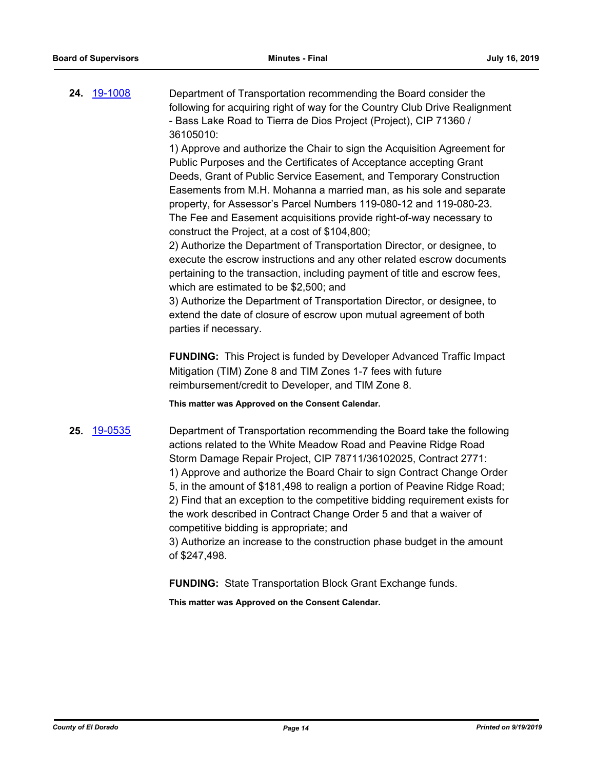**24.** [19-1008](http://eldorado.legistar.com/gateway.aspx?m=l&id=/matter.aspx?key=26330) Department of Transportation recommending the Board consider the following for acquiring right of way for the Country Club Drive Realignment - Bass Lake Road to Tierra de Dios Project (Project), CIP 71360 / 36105010:

> 1) Approve and authorize the Chair to sign the Acquisition Agreement for Public Purposes and the Certificates of Acceptance accepting Grant Deeds, Grant of Public Service Easement, and Temporary Construction Easements from M.H. Mohanna a married man, as his sole and separate property, for Assessor's Parcel Numbers 119-080-12 and 119-080-23. The Fee and Easement acquisitions provide right-of-way necessary to construct the Project, at a cost of \$104,800;

> 2) Authorize the Department of Transportation Director, or designee, to execute the escrow instructions and any other related escrow documents pertaining to the transaction, including payment of title and escrow fees, which are estimated to be \$2,500; and

3) Authorize the Department of Transportation Director, or designee, to extend the date of closure of escrow upon mutual agreement of both parties if necessary.

**FUNDING:** This Project is funded by Developer Advanced Traffic Impact Mitigation (TIM) Zone 8 and TIM Zones 1-7 fees with future reimbursement/credit to Developer, and TIM Zone 8.

**This matter was Approved on the Consent Calendar.**

**25.** [19-0535](http://eldorado.legistar.com/gateway.aspx?m=l&id=/matter.aspx?key=25856) Department of Transportation recommending the Board take the following actions related to the White Meadow Road and Peavine Ridge Road Storm Damage Repair Project, CIP 78711/36102025, Contract 2771: 1) Approve and authorize the Board Chair to sign Contract Change Order 5, in the amount of \$181,498 to realign a portion of Peavine Ridge Road; 2) Find that an exception to the competitive bidding requirement exists for the work described in Contract Change Order 5 and that a waiver of competitive bidding is appropriate; and

3) Authorize an increase to the construction phase budget in the amount of \$247,498.

**FUNDING:** State Transportation Block Grant Exchange funds.

**This matter was Approved on the Consent Calendar.**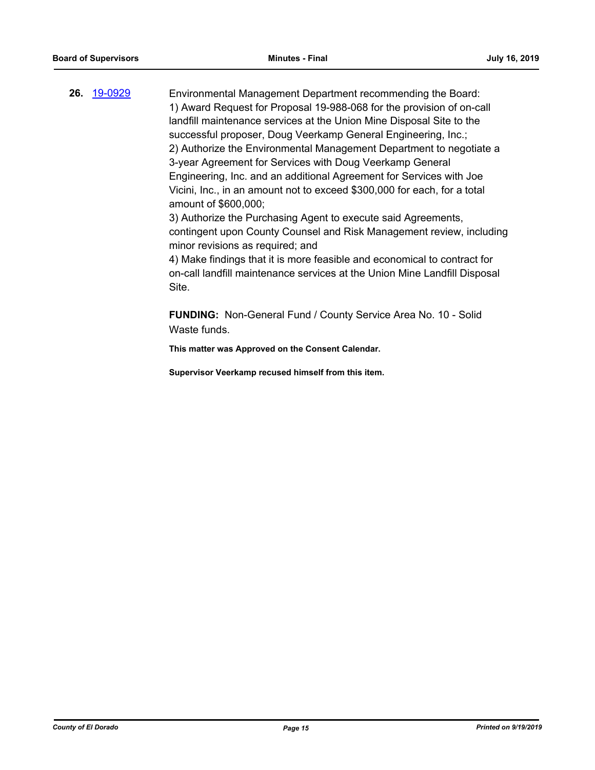**26.** [19-0929](http://eldorado.legistar.com/gateway.aspx?m=l&id=/matter.aspx?key=26252) Environmental Management Department recommending the Board: 1) Award Request for Proposal 19-988-068 for the provision of on-call landfill maintenance services at the Union Mine Disposal Site to the successful proposer, Doug Veerkamp General Engineering, Inc.; 2) Authorize the Environmental Management Department to negotiate a 3-year Agreement for Services with Doug Veerkamp General Engineering, Inc. and an additional Agreement for Services with Joe Vicini, Inc., in an amount not to exceed \$300,000 for each, for a total amount of \$600,000; 3) Authorize the Purchasing Agent to execute said Agreements,

contingent upon County Counsel and Risk Management review, including minor revisions as required; and

4) Make findings that it is more feasible and economical to contract for on-call landfill maintenance services at the Union Mine Landfill Disposal Site.

**FUNDING:** Non-General Fund / County Service Area No. 10 - Solid Waste funds.

**This matter was Approved on the Consent Calendar.**

**Supervisor Veerkamp recused himself from this item.**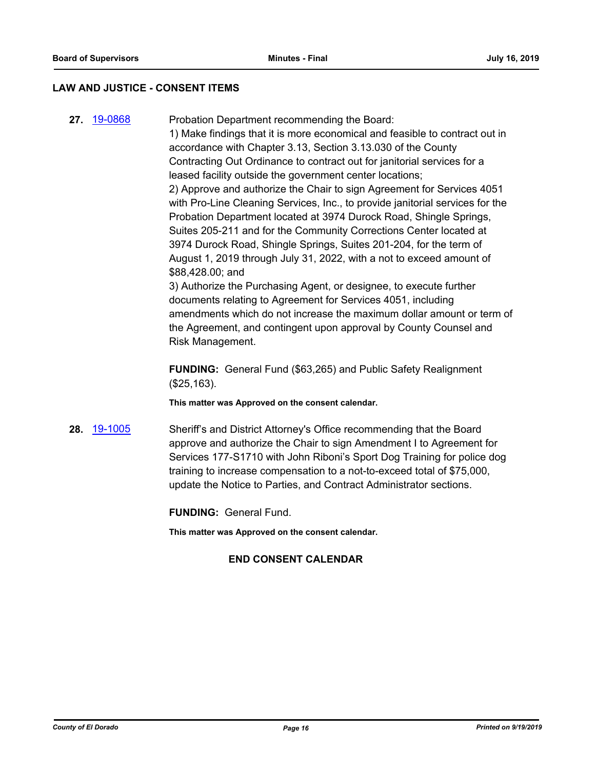#### **LAW AND JUSTICE - CONSENT ITEMS**

**27.** [19-0868](http://eldorado.legistar.com/gateway.aspx?m=l&id=/matter.aspx?key=26191) Probation Department recommending the Board: 1) Make findings that it is more economical and feasible to contract out in accordance with Chapter 3.13, Section 3.13.030 of the County Contracting Out Ordinance to contract out for janitorial services for a leased facility outside the government center locations; 2) Approve and authorize the Chair to sign Agreement for Services 4051 with Pro-Line Cleaning Services, Inc., to provide janitorial services for the Probation Department located at 3974 Durock Road, Shingle Springs, Suites 205-211 and for the Community Corrections Center located at 3974 Durock Road, Shingle Springs, Suites 201-204, for the term of August 1, 2019 through July 31, 2022, with a not to exceed amount of \$88,428.00; and 3) Authorize the Purchasing Agent, or designee, to execute further

documents relating to Agreement for Services 4051, including amendments which do not increase the maximum dollar amount or term of the Agreement, and contingent upon approval by County Counsel and Risk Management.

**FUNDING:** General Fund (\$63,265) and Public Safety Realignment (\$25,163).

**This matter was Approved on the consent calendar.**

**28.** [19-1005](http://eldorado.legistar.com/gateway.aspx?m=l&id=/matter.aspx?key=26327) Sheriff's and District Attorney's Office recommending that the Board approve and authorize the Chair to sign Amendment I to Agreement for Services 177-S1710 with John Riboni's Sport Dog Training for police dog training to increase compensation to a not-to-exceed total of \$75,000, update the Notice to Parties, and Contract Administrator sections.

**FUNDING:** General Fund.

**This matter was Approved on the consent calendar.**

# **END CONSENT CALENDAR**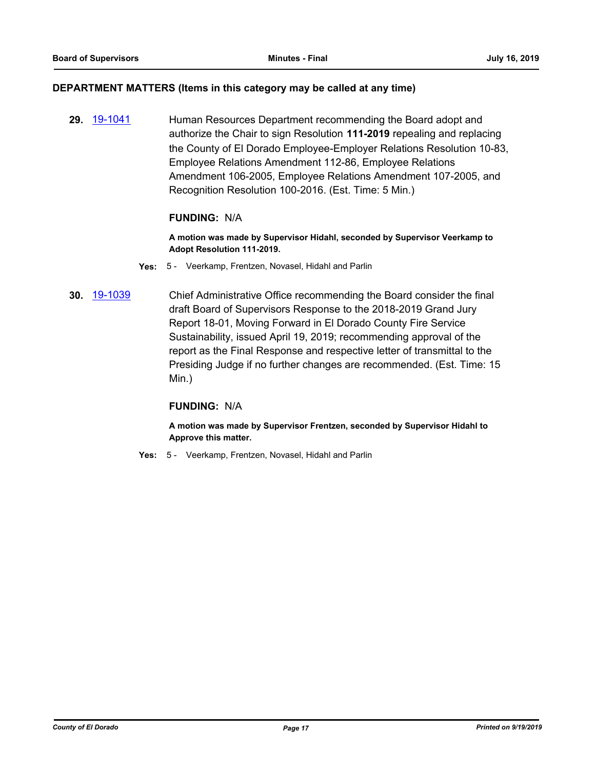#### **DEPARTMENT MATTERS (Items in this category may be called at any time)**

**29.** [19-1041](http://eldorado.legistar.com/gateway.aspx?m=l&id=/matter.aspx?key=26363) Human Resources Department recommending the Board adopt and authorize the Chair to sign Resolution **111-2019** repealing and replacing the County of El Dorado Employee-Employer Relations Resolution 10-83, Employee Relations Amendment 112-86, Employee Relations Amendment 106-2005, Employee Relations Amendment 107-2005, and Recognition Resolution 100-2016. (Est. Time: 5 Min.)

# **FUNDING:** N/A

**A motion was made by Supervisor Hidahl, seconded by Supervisor Veerkamp to Adopt Resolution 111-2019.**

- **Yes:** 5 Veerkamp, Frentzen, Novasel, Hidahl and Parlin
- **30.** [19-1039](http://eldorado.legistar.com/gateway.aspx?m=l&id=/matter.aspx?key=26361) Chief Administrative Office recommending the Board consider the final draft Board of Supervisors Response to the 2018-2019 Grand Jury Report 18-01, Moving Forward in El Dorado County Fire Service Sustainability, issued April 19, 2019; recommending approval of the report as the Final Response and respective letter of transmittal to the Presiding Judge if no further changes are recommended. (Est. Time: 15 Min.)

# **FUNDING:** N/A

**A motion was made by Supervisor Frentzen, seconded by Supervisor Hidahl to Approve this matter.**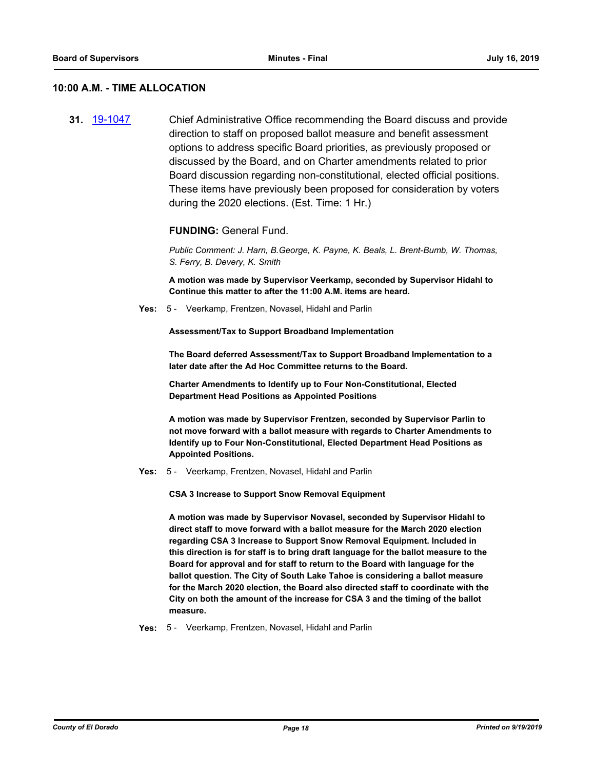#### **10:00 A.M. - TIME ALLOCATION**

**31.** [19-1047](http://eldorado.legistar.com/gateway.aspx?m=l&id=/matter.aspx?key=26369) Chief Administrative Office recommending the Board discuss and provide direction to staff on proposed ballot measure and benefit assessment options to address specific Board priorities, as previously proposed or discussed by the Board, and on Charter amendments related to prior Board discussion regarding non-constitutional, elected official positions. These items have previously been proposed for consideration by voters during the 2020 elections. (Est. Time: 1 Hr.)

#### **FUNDING:** General Fund.

*Public Comment: J. Harn, B.George, K. Payne, K. Beals, L. Brent-Bumb, W. Thomas, S. Ferry, B. Devery, K. Smith*

**A motion was made by Supervisor Veerkamp, seconded by Supervisor Hidahl to Continue this matter to after the 11:00 A.M. items are heard.**

**Yes:** 5 - Veerkamp, Frentzen, Novasel, Hidahl and Parlin

**Assessment/Tax to Support Broadband Implementation**

**The Board deferred Assessment/Tax to Support Broadband Implementation to a later date after the Ad Hoc Committee returns to the Board.**

**Charter Amendments to Identify up to Four Non-Constitutional, Elected Department Head Positions as Appointed Positions**

**A motion was made by Supervisor Frentzen, seconded by Supervisor Parlin to not move forward with a ballot measure with regards to Charter Amendments to Identify up to Four Non-Constitutional, Elected Department Head Positions as Appointed Positions.**

**Yes:** 5 - Veerkamp, Frentzen, Novasel, Hidahl and Parlin

**CSA 3 Increase to Support Snow Removal Equipment**

**A motion was made by Supervisor Novasel, seconded by Supervisor Hidahl to direct staff to move forward with a ballot measure for the March 2020 election regarding CSA 3 Increase to Support Snow Removal Equipment. Included in this direction is for staff is to bring draft language for the ballot measure to the Board for approval and for staff to return to the Board with language for the ballot question. The City of South Lake Tahoe is considering a ballot measure for the March 2020 election, the Board also directed staff to coordinate with the City on both the amount of the increase for CSA 3 and the timing of the ballot measure.**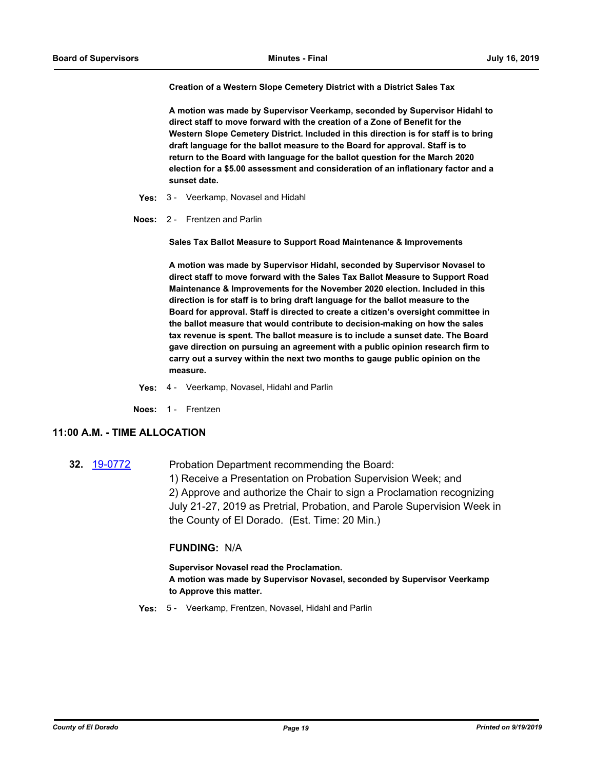**Creation of a Western Slope Cemetery District with a District Sales Tax**

**A motion was made by Supervisor Veerkamp, seconded by Supervisor Hidahl to direct staff to move forward with the creation of a Zone of Benefit for the Western Slope Cemetery District. Included in this direction is for staff is to bring draft language for the ballot measure to the Board for approval. Staff is to return to the Board with language for the ballot question for the March 2020 election for a \$5.00 assessment and consideration of an inflationary factor and a sunset date.**

- **Yes:** 3 Veerkamp, Novasel and Hidahl
- **Noes:** 2 Frentzen and Parlin

**Sales Tax Ballot Measure to Support Road Maintenance & Improvements** 

**A motion was made by Supervisor Hidahl, seconded by Supervisor Novasel to direct staff to move forward with the Sales Tax Ballot Measure to Support Road Maintenance & Improvements for the November 2020 election. Included in this direction is for staff is to bring draft language for the ballot measure to the Board for approval. Staff is directed to create a citizen's oversight committee in the ballot measure that would contribute to decision-making on how the sales tax revenue is spent. The ballot measure is to include a sunset date. The Board gave direction on pursuing an agreement with a public opinion research firm to carry out a survey within the next two months to gauge public opinion on the measure.**

- **Yes:** 4 Veerkamp, Novasel, Hidahl and Parlin
- **Noes:** 1 Frentzen

#### **11:00 A.M. - TIME ALLOCATION**

**32.** [19-0772](http://eldorado.legistar.com/gateway.aspx?m=l&id=/matter.aspx?key=26094) Probation Department recommending the Board: 1) Receive a Presentation on Probation Supervision Week; and 2) Approve and authorize the Chair to sign a Proclamation recognizing July 21-27, 2019 as Pretrial, Probation, and Parole Supervision Week in the County of El Dorado. (Est. Time: 20 Min.)

#### **FUNDING:** N/A

**Supervisor Novasel read the Proclamation. A motion was made by Supervisor Novasel, seconded by Supervisor Veerkamp to Approve this matter.**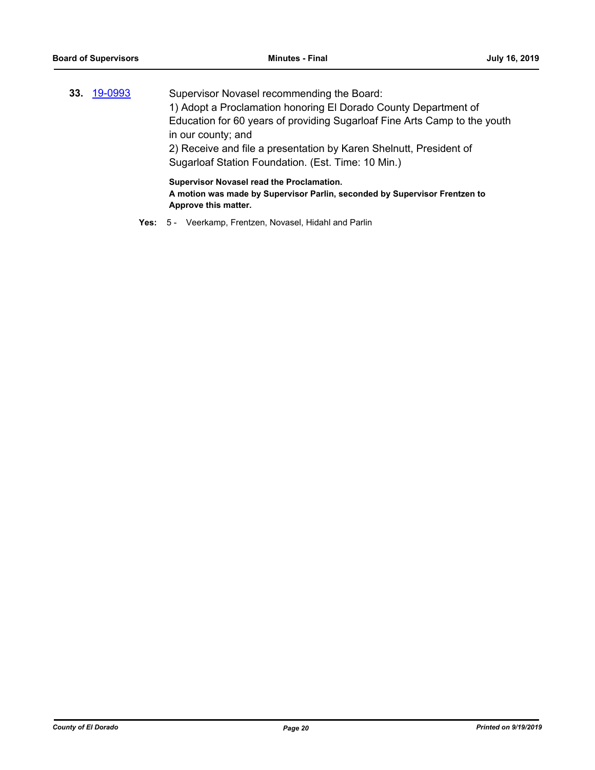| Supervisor Novasel recommending the Board:                                                                              |
|-------------------------------------------------------------------------------------------------------------------------|
| 1) Adopt a Proclamation honoring El Dorado County Department of                                                         |
| Education for 60 years of providing Sugarloaf Fine Arts Camp to the youth                                               |
| in our county; and                                                                                                      |
| 2) Receive and file a presentation by Karen Shelnutt, President of                                                      |
| Sugarloaf Station Foundation. (Est. Time: 10 Min.)                                                                      |
| Supervisor Novasel read the Proclamation.<br>A motion was made by Supervisor Parlin, seconded by Supervisor Frentzen to |
|                                                                                                                         |

**Approve this matter.**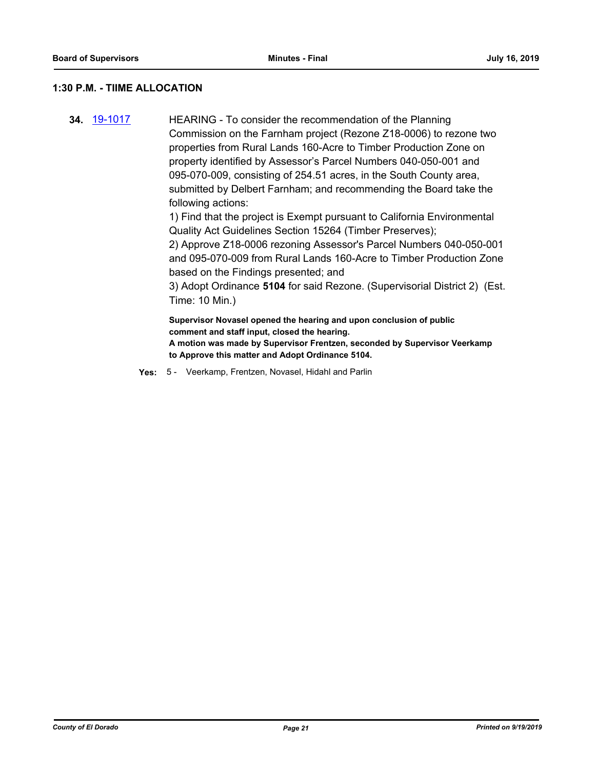#### **1:30 P.M. - TIIME ALLOCATION**

**34.** [19-1017](http://eldorado.legistar.com/gateway.aspx?m=l&id=/matter.aspx?key=26339) HEARING - To consider the recommendation of the Planning Commission on the Farnham project (Rezone Z18-0006) to rezone two properties from Rural Lands 160-Acre to Timber Production Zone on property identified by Assessor's Parcel Numbers 040-050-001 and 095-070-009, consisting of 254.51 acres, in the South County area, submitted by Delbert Farnham; and recommending the Board take the following actions:

1) Find that the project is Exempt pursuant to California Environmental Quality Act Guidelines Section 15264 (Timber Preserves);

2) Approve Z18-0006 rezoning Assessor's Parcel Numbers 040-050-001 and 095-070-009 from Rural Lands 160-Acre to Timber Production Zone based on the Findings presented; and

3) Adopt Ordinance **5104** for said Rezone. (Supervisorial District 2) (Est. Time: 10 Min.)

**Supervisor Novasel opened the hearing and upon conclusion of public comment and staff input, closed the hearing.**

**A motion was made by Supervisor Frentzen, seconded by Supervisor Veerkamp to Approve this matter and Adopt Ordinance 5104.**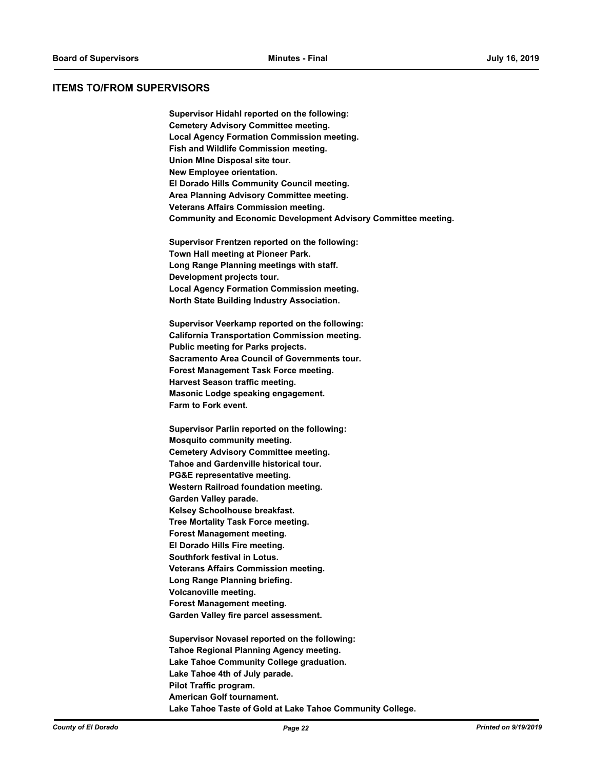#### **ITEMS TO/FROM SUPERVISORS**

**Supervisor Hidahl reported on the following: Cemetery Advisory Committee meeting. Local Agency Formation Commission meeting. Fish and Wildlife Commission meeting. Union MIne Disposal site tour. New Employee orientation. El Dorado Hills Community Council meeting. Area Planning Advisory Committee meeting. Veterans Affairs Commission meeting. Community and Economic Development Advisory Committee meeting.**

**Supervisor Frentzen reported on the following: Town Hall meeting at Pioneer Park. Long Range Planning meetings with staff. Development projects tour. Local Agency Formation Commission meeting. North State Building Industry Association.**

**Supervisor Veerkamp reported on the following: California Transportation Commission meeting. Public meeting for Parks projects. Sacramento Area Council of Governments tour. Forest Management Task Force meeting. Harvest Season traffic meeting. Masonic Lodge speaking engagement. Farm to Fork event.**

**Supervisor Parlin reported on the following: Mosquito community meeting. Cemetery Advisory Committee meeting. Tahoe and Gardenville historical tour. PG&E representative meeting. Western Railroad foundation meeting. Garden Valley parade. Kelsey Schoolhouse breakfast. Tree Mortality Task Force meeting. Forest Management meeting. El Dorado Hills Fire meeting. Southfork festival in Lotus. Veterans Affairs Commission meeting. Long Range Planning briefing. Volcanoville meeting. Forest Management meeting. Garden Valley fire parcel assessment.**

**Supervisor Novasel reported on the following: Tahoe Regional Planning Agency meeting. Lake Tahoe Community College graduation. Lake Tahoe 4th of July parade. Pilot Traffic program. American Golf tournament. Lake Tahoe Taste of Gold at Lake Tahoe Community College.**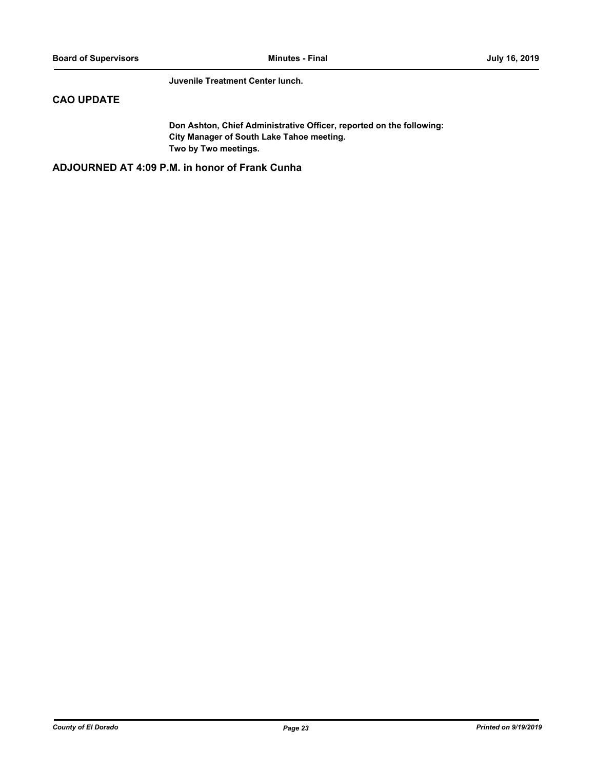**Juvenile Treatment Center lunch.**

# **CAO UPDATE**

**Don Ashton, Chief Administrative Officer, reported on the following: City Manager of South Lake Tahoe meeting. Two by Two meetings.**

**ADJOURNED AT 4:09 P.M. in honor of Frank Cunha**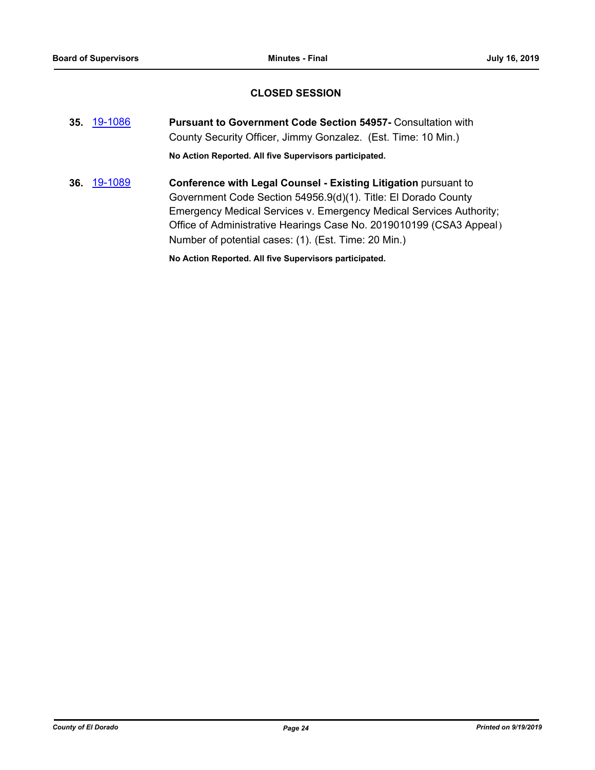# **CLOSED SESSION**

- **35.** [19-1086](http://eldorado.legistar.com/gateway.aspx?m=l&id=/matter.aspx?key=26408) **Pursuant to Government Code Section 54957-** Consultation with County Security Officer, Jimmy Gonzalez. (Est. Time: 10 Min.) **No Action Reported. All five Supervisors participated.**
- **36.** [19-1089](http://eldorado.legistar.com/gateway.aspx?m=l&id=/matter.aspx?key=26411) **Conference with Legal Counsel - Existing Litigation** pursuant to Government Code Section 54956.9(d)(1). Title: El Dorado County Emergency Medical Services v. Emergency Medical Services Authority; Office of Administrative Hearings Case No. 2019010199 (CSA3 Appeal) Number of potential cases: (1). (Est. Time: 20 Min.)

**No Action Reported. All five Supervisors participated.**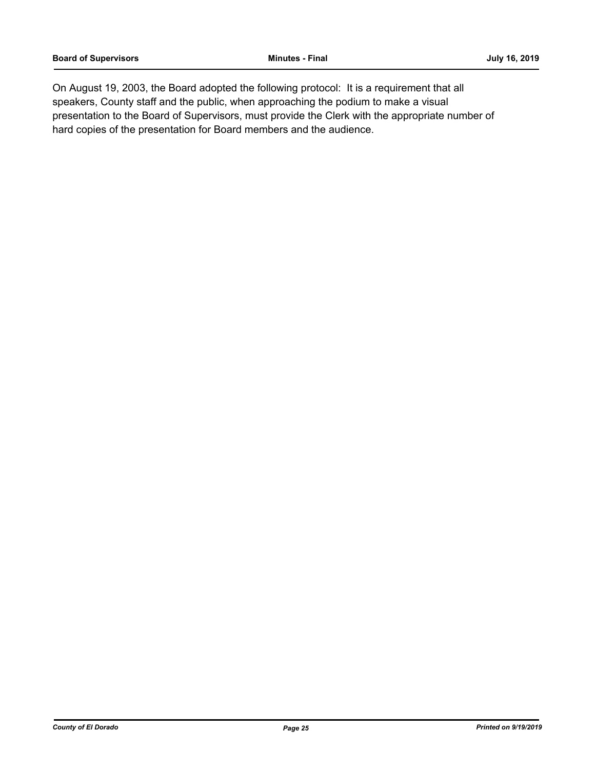On August 19, 2003, the Board adopted the following protocol: It is a requirement that all speakers, County staff and the public, when approaching the podium to make a visual presentation to the Board of Supervisors, must provide the Clerk with the appropriate number of hard copies of the presentation for Board members and the audience.